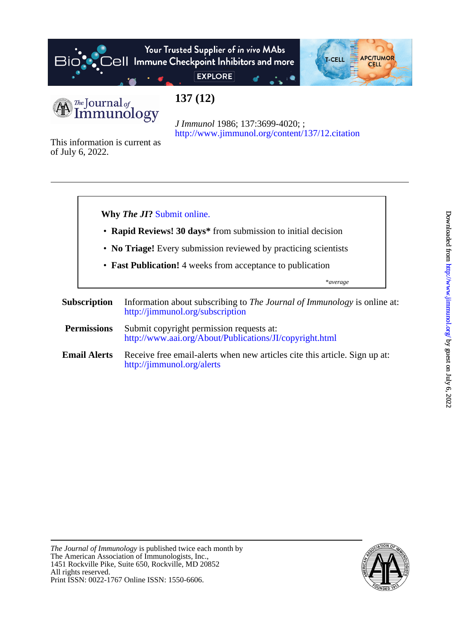

# Your Trusted Supplier of in vivo MAbs  $\Theta$ | Immune Checkpoint Inhibitors and more



**EXPLORE** 

# **137 (12)**

<http://www.jimmunol.org/content/137/12.citation> *J Immunol* 1986; 137:3699-4020; ;

of July 6, 2022. This information is current as



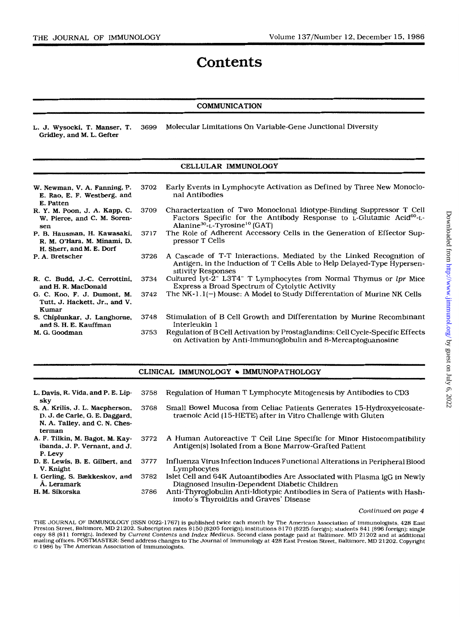## **Contents**

## **COMMUNICATION**

**L. J. Wysocki, T. Manser, T.** 3699 Molecular Limitations On Variable-Gene Junctional Diversity **Gridley, and M. L. Cefter** 

## **CELLULAR IMMUNOLOGY**

| W. Newman, V. A. Fanning, P.<br>E. Rao, E. F. Westberg, and<br>E. Patten               | 3702 | Early Events in Lymphocyte Activation as Defined by Three New Monoclo-<br>nal Antibodies                                                                                                                          |
|----------------------------------------------------------------------------------------|------|-------------------------------------------------------------------------------------------------------------------------------------------------------------------------------------------------------------------|
| R. Y. M. Poon, J. A. Kapp, C.<br>W. Pierce, and C. M. Soren-<br>sen                    | 3709 | Characterization of Two Monoclonal Idiotype-Binding Suppressor T Cell<br>Factors Specific for the Antibody Response to L-Glutamic Acid <sup>60</sup> -L-<br>Alanine <sup>30</sup> -L-Tyrosine <sup>10</sup> (GAT) |
| P. B. Hausman, H. Kawasaki,<br>R. M. O'Hara, M. Minami, D.<br>H. Sherr, and M. E. Dorf | 3717 | The Role of Adherent Accessory Cells in the Generation of Effector Sup-<br>pressor T Cells                                                                                                                        |
| P. A. Bretscher                                                                        | 3726 | A Cascade of T-T Interactions, Mediated by the Linked Recognition of<br>Antigen, in the Induction of T Cells Able to Help Delayed-Type Hypersen-<br>sitivity Responses                                            |
| R. C. Budd, J.-C. Cerrottini,<br>and H. R. MacDonald                                   | 3734 | Cultured lyt-2 <sup>-</sup> L3T4 <sup>-</sup> T Lymphocytes from Normal Thymus or lpr Mice<br>Express a Broad Spectrum of Cytolytic Activity                                                                      |
| G. C. Koo, F. J. Dumont, M.<br>Tutt. J. Hackett. Jr., and V.<br>Kumar                  | 3742 | The NK-1.1(-) Mouse: A Model to Study Differentation of Murine NK Cells                                                                                                                                           |
| S. Chiplunkar, J. Langhorne,<br>and S. H. E. Kauffman                                  | 3748 | Stimulation of B Cell Growth and Differentation by Murine Recombinant<br>Interleukin 1                                                                                                                            |
| M. G. Goodman                                                                          | 3753 | Regulation of B Cell Activation by Prostaglandins: Cell Cycle-Specific Effects<br>on Activation by Anti-Immunoglobulin and 8-Mercaptoguanosine                                                                    |

### **CLINICAL IMMUNOLOGY • IMMUNOPATHOLOGY**

| L. Davis, R. Vida, and P. E. Lip-<br>skv                                                                     | 3758 | Regulation of Human T Lymphocyte Mitogenesis by Antibodies to CD3                                                                     |
|--------------------------------------------------------------------------------------------------------------|------|---------------------------------------------------------------------------------------------------------------------------------------|
| S. A. Krilis, J. L. Macpherson,<br>D. J. de Carle, G. E. Daggard,<br>N. A. Talley, and C. N. Ches-<br>terman | 3768 | Small Bowel Mucosa from Celiac Patients Generates 15-Hydroxyeicosate-<br>traenoic Acid (15-HETE) after in Vitro Challenge with Gluten |
| A. F. Tilkin, M. Bagot, M. Kay-<br>ibanda, J. P. Vernant, and J.<br>P. Levy                                  | 3772 | A Human Autoreactive T Cell Line Specific for Minor Histocompatibility<br>Antigen(s) Isolated from a Bone Marrow-Grafted Patient      |
| D. E. Lewis, B. E. Gilbert, and<br>V. Knight                                                                 | 3777 | Influenza Virus Infection Induces Functional Alterations in Peripheral Blood<br>Lymphocytes                                           |
| I. Gerling, S. Bækkeskov, and<br>Å. Lernmark                                                                 | 3782 | Islet Cell and 64K Autoantibodies Are Associated with Plasma IgG in Newly<br>Diagnosed Insulin-Dependent Diabetic Children            |
| H. M. Sikorska                                                                                               | 3786 | Anti-Thyroglobulin Anti-Idiotypic Antibodies in Sera of Patients with Hash-<br>imoto's Thyroiditis and Graves' Disease                |

#### *~ont~n~~d on page 4*

THE JOURNAL OF IMMUNOLOGY (ISSN 0022-1767) is published twice each month by The American Association of Immunologists, 428 East<br>Preston Street, Baltimore, MD 21202. Subscription rates \$150 (\$205 foreign); institutions \$170 copy \$8 (\$11 foreign). Indexed by *Current Contents and Index Medicus. S*econd class postage paid at Baltimore, MD 21202 and at additional<br>mailing offices. POSTMASTER: Send address changes to The Journal of Immunology at 4 *0* **1986 by The American Association of Immunologists.**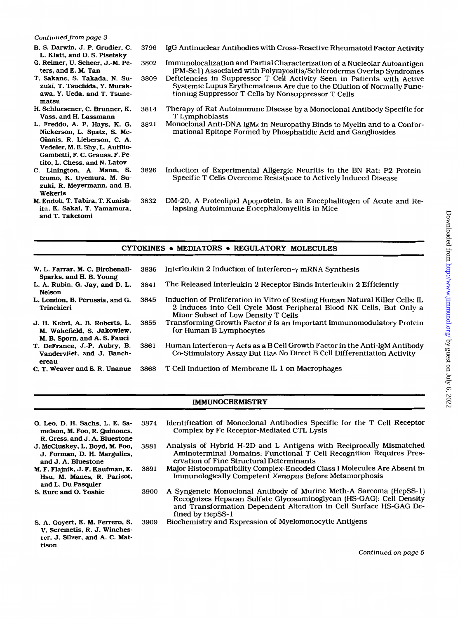#### *Continued from page 3*

- B. *S.* Darwin, J. P. Grudier, C. L. Klatt, and D. *S.* Pisetsky
- *G.* Reimer, U. Scheer. J.-M. Peters, and E. M. Tan
- T. Sakane, *S.* Takada, N. **Su**zuki. T. Tsuchida. Y. Murakawa. Y. Ueda, and T. Tsunematsu
- H. Schluesener, C. Brunner. K. Vass. and H. Lassmann
- L. Freddo. A. P. Hays, K. G. Nickerson. L. Spatz, *S.* Mc-Ginnis. R. Lieberson. C. A. Vedeler, M. E. Shy. L. Autilio-Gambetti. F. C. Grauss, F. Petito, L. Chess, and N. Latov
- *C.* Linington, A. Mann, *S.*  **Izumo,** K. Uyemura, M. Suzuki, R. Meyermann, and H. Wekerle
- **M.** Endoh. T. Tabira. T. Kunishita, K. Sakai. T. Yamamura, and T. Taketomi
- 3796 IgG Antinuclear Antibodies with Cross-Reactive Rheumatoid Factor Activity
- 3802 Immunolocalization and Partial Characterization of a Nucleolar Autoantigen (PM-Sc **1)** Associated with Polymyositis/Schleroderma Overlap Syndromes
- 3809 Deficiencies in Suppressor T Cell Activity Seen in Patients with Active Systemic Lupus Erythematosus Are due to the Dilution of Normally Functioning Suppressor T Cells by Nonsuppressor T Cells
- 3814 Therapy of Rat Autoimmune Disease by a Monoclonal Antibody Specific for T Lymphoblasts
- 3821 Monoclonal Anti-DNA IgM<sub>K</sub> in Neuropathy Binds to Myelin and to a Conformational Epitope Formed by Phosphatidic Acid and Gangliosides
- 3826 Induction of Experimental Allgergic Neuritis in the BN Rat: P2 Protein-Specific T Cells Overcome Resistance to Actively Induced Disease
- 3832 DM-20, A Proteolipid Apoprotein, Is an Encephalitogen of Acute and Relapsing Autoimmune Encephalomyelitis in Mice

### CYTOKINES . MEDIATORS . REGULATORY MOLECULES

W. L. Farrar. M. C. Birchenall-L. A. Rubin. G. Jay, and D. L. **L.** London, B. Perussia, and G. Sparks, and **H.** B. **Young**  Nelson Trinchieri J. H. Kehrl. A. B. Roberts, L. M. Wakefield. *S.* Jakowlew, M. B. **Sporn.** and **A.** *S.* Fauci T. DeFrance, J.-P. Aubry. B. Vandervliet. and J. Banchereau C. T. Weaver and E. R. Unanue 3836 Interleukin 2 Induction of Interferon- $\gamma$  mRNA Synthesis 3841 The Released Interleukin 2 Receptor Binds Interleukin 2 Efficiently 3845 Induction of Proliferation in Vitro of Resting Human Natural Killer Cells: IL 2 Induces into Cell Cycle Most Peripheral Blood NK Cells, But Only a Minor Subset of Low Density T Cells 3855 Transforming Growth Factor  $\hat{\beta}$  Is an Important Immunomodulatory Protein for Human B Lymphocytes 3861 Human Interferon- $\gamma$  Acts as a B Cell Growth Factor in the Anti-IgM Antibody Co-Stimulatory Assay But Has No Direct B Cell Differentiation Activity 3868 T Cell Induction of Membrane IL 1 on Macrophages

## **IMMUNOCHEMISTRY**

0. Leo, **D.** H. Sachs, L. E. Samelson, M. Foo, R. Quinones, R. Cress. and J. A. Bluestone J. McCluskey, L. Boyd, M. Foo, J. Forman. **D. H.** Margulies, and J. A. Bluestone M. F. Flajnik, J. F. Kaufman, E. Hsu, M. Manes, R. Parisot. and L. Du Pasquier *S.* Kure and 0. Yoshie *S.* A. Goyert, E. M. Ferrero. *S.*  V. Seremetis, R. J. Winchester, J. Silver, and **A.** C. Mattison 3874 Identification of Monoclonal Antibodies Specific for the T Cell Receptor Complex by Fc Receptor-Mediated CTL Lysis 3881 Analysis of Hybrid H-2D and L Antigens with Reciprocally Mismatched Aminoterminal Domains: Functional T Cell Recognition Requires Preservation of Fine Structural Determinants 3891 Major Histocompatibility Complex-Encoded Class I Molecules Are Absent in Immunologically Competent *Xenopus* Before Metamorphosis 3900 A Syngeneic Monoclonal Antibody of Murine Meth-A Sarcoma (HepSS-1) Recognizes Heparan Sulfate Glycosaminoglycan (HS-GAG): Cell Density and Transformation Dependent Alteration in Cell Surface HS-GAG Defined by HepSS-1 3909 Biochemistry and Expression of Myelomonocytic Antigens

*Continued on page* 5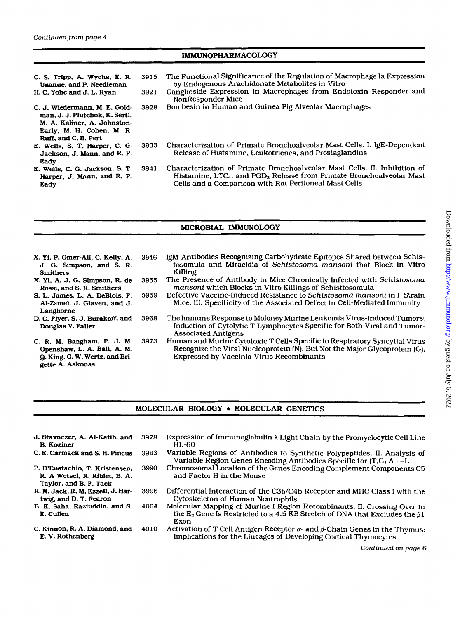## **IMMUNOPHARMACOLOGY**

C. *S.* Tripp. **A.** Wyche, E. **R.**  Unanue. and P, **Needleman H.** C. Yohe and J. **L.** Ryan C. J. Wiedermann. M. E. Goldman, **J.** J. Plutchok, K. *Sertl,*  M. **A. Kaliner, A.** Johnston-Early, M. H. Cohen, M. R. Ruff, and C. *B.* Pert E. Wells. *S.* T. **Harper,** C. G. Jackson, J. Mann, and R. P. E. Wells, C. G. Jackson, *S.* T. Harper, **J.** Mann. and **R.** P. **Eady** Eady **3915** The Functional Significance of the Regulation of Macrophage Ia Expression **3921** Ganglioside Expression in Macrophages from Endotoxin Responder and **3928** Bombesin in Human and Guinea Pig Alveolar Macrophages by Endogenous Arachidonate Metabolites in Vitro NonResponder Mice **3933** Characterization of Primate Bronchoalveolar Mast Cells. **I.** I@-Dependent Release of Histamine, Leukotrienes, and Prostaglandins **3941** Characterization **of** Primate Bronchoalveolar Mast Cells. 11. Inhibition of Histamine, LTC<sub>4</sub>, and PGD<sub>2</sub> Release from Primate Bronchoalveolar Mast Cells and a Comparison with Rat Peritoneal Mast Cells

## MICROBIAL IMMUNOLOGY

**X.** Yi, P. Omer-Ali, C. Kelly, **A.**  J. *G.* Simpson, and *S.* R. Smithers **X.** Yi. **A.** J. G. Simpson, **R.** de Rossi. and *S.* **R.** Smithers *S.* L. James, **L. A.** DeBlois, F. Ai-Zamel, J. Glaven, and J. Langhorne D. C. Flyer, *S.* J, Burakoff, and **Douglas V.** Faller C.R.M.Bangham,P.J.M. Openshaw, **L. A. Ball, A.** M. *Q.* King. G. W. We&, and **Bri-3946** IgM Antibodies Recognizing Carbohydrate Epitopes Shared between Schistosomula and Miracidia of Schistosoma mansoni that Block in Vitro Killing **3955** The Presence of Antibody in Mice Chronically Infected with Schistosoma mansoni which Blocks in Vitro Killings of Schisttosomula **3959** Defective Vaccine-Induced Resistance to Schistosoma mansoni in P Strain Mice. 111. Specificity of the Associated Defect in Cell-Mediated Immunity **3968** The Immune Response to Moloney Murine Leukemia Virus-Induced Tumors: Induction of Cytolytic T Lymphocytes Specific for Both Viral and Tumor-Associated Antigens **3973** Human and Murine Cytotoxic T Cells Specific to Respiratory Syncytial Virus Recognize the Viral Nucleoprotein fN), But Not the Major Glycoprotein *(C),*  Expressed by Vaccinia Virus Recombinants

## MOLECULAR BIOLOGY . MOLECULAR GENETICS

J. Stavnezer, **A.** Al-Katib, and B. Koziner

gette **A.** Askonas

- C. **E.** Carmack and *S.* **H.** Pincus
- P. D'Eustachio, **T.** Kristensen, R. **A** Wetsel, **R.** Riblet, B. **A.**  Taylor, and B. F. Tack
- **R.** M. Jack, **R. M.** Ezzell, J. Hartwig, and D. **T.** Fearon
- **B. K.** Saha, Raziuddin, and *S.*  E. Cullen
- **C. Kinnon, R. A. Diamond, and** E. v. Rothenberg
- **3978** Expression of Immunoglobulin X Light Chain by the Promyelocytic Cell Line HL-60
- **3983** Variable Regions of Antibodies to Synthetic Polypeptides. **11.** Analysis of Variable Region Genes Encoding Antibodies Specific for (T.G)-A- -L
- **3990** Chromosomal Location of the Genes Encoding Complement Components C5 and Factor H in the Mouse
- **3996** Differential Interaction **of** the C3b/C4b Receptor and MHC Class I with the Cytoskeleton of Human Neutrophils
- **4004** Molecular Mapping of Murine I Region Recombinants. 11. Crossing Over in the  $E_\beta$  Gene Is Restricted to a 4.5 KB Stretch of DNA that Excludes the  $\beta$ 1 Exon
- **4010** Activation of T Cell Antigen Receptor  $\alpha$  and  $\beta$ -Chain Genes in the Thymus: Implications for the Lineages of Developing Cortical Thymocytes

*Continued on page 6*